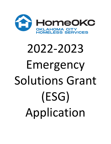

# 2022-2023 Emergency Solutions Grant (ESG) Application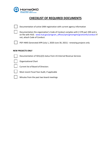

# **CHECKLIST OF REQUIRED DOCUMENTS**

| Documentation of active SAM registration with current agency information |  |
|--------------------------------------------------------------------------|--|
|--------------------------------------------------------------------------|--|

Documentation the organization's Code of Conduct complies with 2 CFR part 200 and is on file with HUD. www.hud.gov/program\_offices/spm/gmomgmt/grantsinfo/conduct If not, attach Code of Conduct.

PDF HMIS Generated APR (July 1, 2020-June 30, 2021) - renewing projects only

#### **NEW PROJECTS ONLY**

Documentation of 501(c)(3) status from US Internal Revenue Services



Organizational Chart

Current list of Board of Directors

Most recent Fiscal Year Audit, if applicable

Minutes from the past two board meetings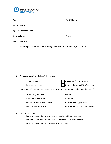

|                                                        | DUNS Numbers:____________________ |
|--------------------------------------------------------|-----------------------------------|
|                                                        |                                   |
| Agency Contact Person: National Agency Contact Person: |                                   |
|                                                        |                                   |
| Agency Address:                                        |                                   |

1. Brief Project Description (ONE paragraph for contract narrative, if awarded):

2. Proposed Activities: (Select ALL that apply)



Street Outreach Emergency Shelter Prevention/TBRA/Services Rapid re-housing/TBRA/Services 3. Please identify the primary beneficiaries of your ESG program (Select ALL that apply)



### 4. Total to be served

Indicate the number of unduplicated adults (18+) to be served Indicate the number of unduplicated children (<18) to be served Indicate the number of households to be served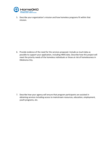

5. Describe your organization's mission and how homeless programs fit within that mission.

6. Provide evidence of the need for the services proposed. Include as much data as possible to support your application, including HMIS data. Describe how this project will meet the priority needs of the homeless individuals or those at risk of homelessness in Oklahoma City.

7. Describe how your agency will ensure that program participants are assisted in obtaining services including access to mainstream resources, education, employment, youth programs, etc.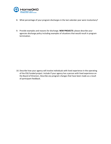

- 8. What percentage of your program discharges in the last calendar year were involuntary?
- 9. Provide examples and reasons for discharge. **NEW PROJECTS**: please describe your agencies discharge policy including examples of situations that would result in program termination.

10. Describe how your agency will involve individuals with lived experience in the operating of the ESG funded project. Include if your agency has a person with lived experience on the Board of Directors. Describe any program changes that have been made as a result of participant feedback.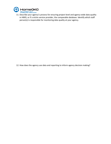

11. Describe your agency's process for ensuring project-level and agency-wide data quality in HMIS, or if a victim service provider, the comparable database. Identify which staff person(s) is responsible for monitoring data quality at your agency.

12. How does the agency use data and reporting to inform agency decision making?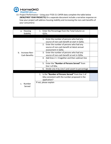

13. Project Performance – Using your FY20-21 CAPER data complete the table below (**NEW/FIRST YEAR PROJECTS)** On a separate document include a narrative response on how your project will address housing stability and increasing the non-cash benefits of your consumers)

| a. Housing               | 1. Enter the Percentage from the Total Column on     |  |
|--------------------------|------------------------------------------------------|--|
| Stability                | Q23c.                                                |  |
|                          |                                                      |  |
|                          | 1. Enter the number of persons who had any           |  |
|                          | source of non-cash benefit at start in Q20a.         |  |
|                          | 2. Enter the number of persons who had any           |  |
|                          | source of non-cash benefit at latest annual          |  |
|                          | assessment in Q20a.                                  |  |
| Increase Non-<br>b.      | 3. Enter the number of persons who had any           |  |
| Cash Benefits            | source of non-cash benefit at exit in Q20a.          |  |
|                          | 4. Add lines $2 + 3$ together and then subtract line |  |
|                          | 1.                                                   |  |
|                          | 5. Enter the "Number of Persons Served" from         |  |
|                          | line 1 of Q5a.                                       |  |
|                          | 6. Divide Line 4 by Line 5 and covert to percentage  |  |
|                          |                                                      |  |
|                          | 1. Is the "Number of Persons Served" from line 1 of  |  |
|                          | Q5a consistent with the number proposed in the       |  |
|                          | application?                                         |  |
| Number<br>C <sub>1</sub> | If not, please explain                               |  |
| Served                   |                                                      |  |
|                          |                                                      |  |
|                          |                                                      |  |
|                          |                                                      |  |
|                          |                                                      |  |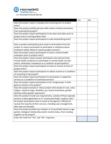

|                                                                        | Yes | No |
|------------------------------------------------------------------------|-----|----|
| Does the project require a background screening prior to project       |     |    |
| entry?                                                                 |     |    |
| Does the project prohibit persons with certain criminal convictions    |     |    |
| from entering the project?                                             |     |    |
| Does the project require participants to be clean and sober prior to   |     |    |
| project entry or during project stay?                                  |     |    |
| Does the project require participants to take alcohol/drug tests?      |     |    |
|                                                                        |     |    |
| Does a positive alcohol/drug test result in termination from the       |     |    |
| project or require participant to participate in substance abuse       |     |    |
| treatment and/or detox to resume project services?                     |     |    |
| Does the project require participants to have a mental health          |     |    |
| evaluation prior to project entry?                                     |     |    |
| Does the project require project participants who demonstrate          |     |    |
| mental health symptoms to participate in mental health services        |     |    |
| and/or medication compliance as a condition of participation?          |     |    |
| Does the project require participants to have an income at time of     |     |    |
| project entry?                                                         |     |    |
| Does the project require participants to obtain income as a condition  |     |    |
| of remaining in the project?                                           |     |    |
| Does the project require participants to participate in supportive     |     |    |
| services as a condition of continued services?                         |     |    |
| Does the project require participants to be "progressing" in their     |     |    |
| goals to remain in the project?                                        |     |    |
| Does the project exclude or refuse project entry based on race, color, |     |    |
| religion, national origin, disability, sex, sexual orientation, gender |     |    |
| identity and/or gender expression?                                     |     |    |
| Does the project include any requirements, outside of those typically  |     |    |
| found in a lease agreement or in "community living" conduct rules?     |     |    |
| Do project participants have to travel to the agency's office(s) to    |     |    |
| receive the majority of their services, including case management,     |     |    |
| after they are housed?                                                 |     |    |
| Does the project prohibit any member of a household, based on age,     |     |    |
| gender, biological relationship and/or marital status, from residing   |     |    |
| together at the project?                                               |     |    |
| Enter the Total # of "Yes" and "No" responses                          |     |    |
|                                                                        |     |    |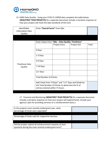

15. HMIS Data Quality - Using your FY20-21 CAPER data complete the table below (**NEW/FIRST YEAR PROJECTS)** On a separate document include a narrative response on how your project will meet the data standards of the CoC)

| Identifiable<br><b>Information Data</b><br>Quality | Enter "Overall Score" from Q6a.                                                                                                                |                      |              |       |
|----------------------------------------------------|------------------------------------------------------------------------------------------------------------------------------------------------|----------------------|--------------|-------|
|                                                    |                                                                                                                                                |                      |              |       |
|                                                    | Enter Values from "Q6e - Data Quality: Timeliness"                                                                                             |                      |              |       |
|                                                    |                                                                                                                                                | <b>Project Entry</b> | Project Exit | Total |
|                                                    | 0 Days                                                                                                                                         |                      |              |       |
| <b>Timeliness Data</b><br>Quality                  | 1-3 Days                                                                                                                                       |                      |              |       |
|                                                    | 4-6 Days                                                                                                                                       |                      |              |       |
|                                                    | 7-10 Days                                                                                                                                      |                      |              |       |
|                                                    | 11+ Days                                                                                                                                       |                      |              |       |
|                                                    | <b>Total Number of Entries</b>                                                                                                                 |                      |              |       |
|                                                    | Add Totals from "0 Days" and "1-3" Days and Divide by<br>the Total Number of Entries to determine the % of<br>entries entered within 72 hours. |                      |              |       |

17. Financial and Monitoring (**NEW/FIRST YEAR PROJECTS)** On a separate document include a narrative response on how your project will expend funds, include your agency's plan for providing services on a reimbursement basis.)

| In the projects most recently ended grant year, what<br>percentage of funds were expended? |  |
|--------------------------------------------------------------------------------------------|--|
|                                                                                            |  |
| Percentage of funds used for Supportive Services                                           |  |
|                                                                                            |  |
| Did the project submit all reimbursement requests at least                                 |  |
| quarterly during the most recently ended grant term?                                       |  |